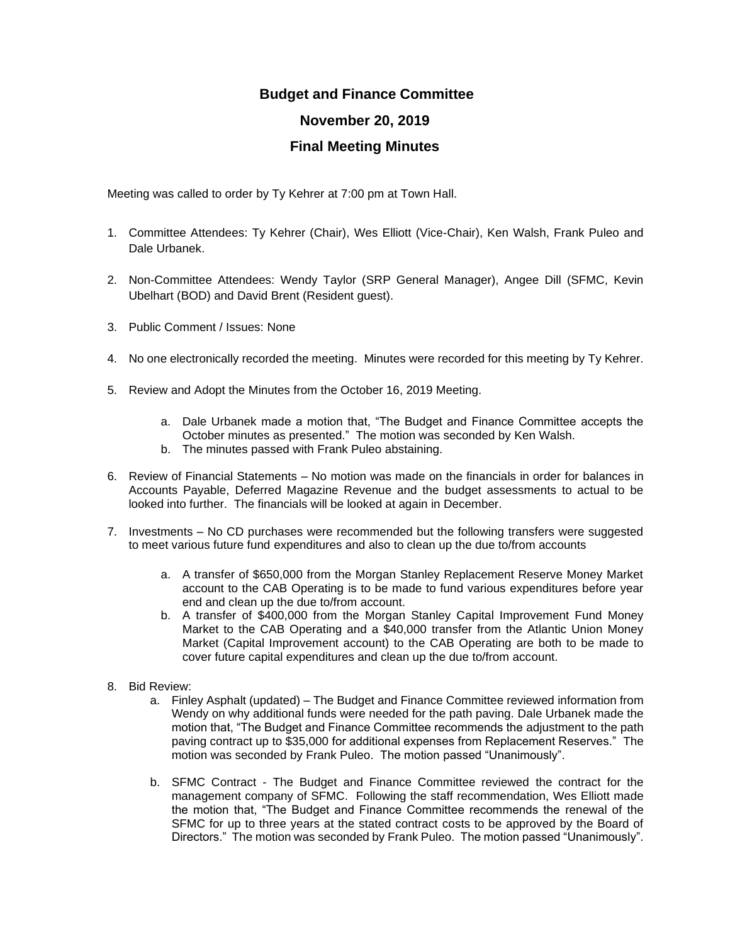## **Budget and Finance Committee November 20, 2019 Final Meeting Minutes**

Meeting was called to order by Ty Kehrer at 7:00 pm at Town Hall.

- 1. Committee Attendees: Ty Kehrer (Chair), Wes Elliott (Vice-Chair), Ken Walsh, Frank Puleo and Dale Urbanek.
- 2. Non-Committee Attendees: Wendy Taylor (SRP General Manager), Angee Dill (SFMC, Kevin Ubelhart (BOD) and David Brent (Resident guest).
- 3. Public Comment / Issues: None
- 4. No one electronically recorded the meeting. Minutes were recorded for this meeting by Ty Kehrer.
- 5. Review and Adopt the Minutes from the October 16, 2019 Meeting.
	- a. Dale Urbanek made a motion that, "The Budget and Finance Committee accepts the October minutes as presented." The motion was seconded by Ken Walsh.
	- b. The minutes passed with Frank Puleo abstaining.
- 6. Review of Financial Statements No motion was made on the financials in order for balances in Accounts Payable, Deferred Magazine Revenue and the budget assessments to actual to be looked into further. The financials will be looked at again in December.
- 7. Investments No CD purchases were recommended but the following transfers were suggested to meet various future fund expenditures and also to clean up the due to/from accounts
	- a. A transfer of \$650,000 from the Morgan Stanley Replacement Reserve Money Market account to the CAB Operating is to be made to fund various expenditures before year end and clean up the due to/from account.
	- b. A transfer of \$400,000 from the Morgan Stanley Capital Improvement Fund Money Market to the CAB Operating and a \$40,000 transfer from the Atlantic Union Money Market (Capital Improvement account) to the CAB Operating are both to be made to cover future capital expenditures and clean up the due to/from account.
- 8. Bid Review:
	- a. Finley Asphalt (updated) The Budget and Finance Committee reviewed information from Wendy on why additional funds were needed for the path paving. Dale Urbanek made the motion that, "The Budget and Finance Committee recommends the adjustment to the path paving contract up to \$35,000 for additional expenses from Replacement Reserves." The motion was seconded by Frank Puleo. The motion passed "Unanimously".
	- b. SFMC Contract The Budget and Finance Committee reviewed the contract for the management company of SFMC. Following the staff recommendation, Wes Elliott made the motion that, "The Budget and Finance Committee recommends the renewal of the SFMC for up to three years at the stated contract costs to be approved by the Board of Directors." The motion was seconded by Frank Puleo. The motion passed "Unanimously".